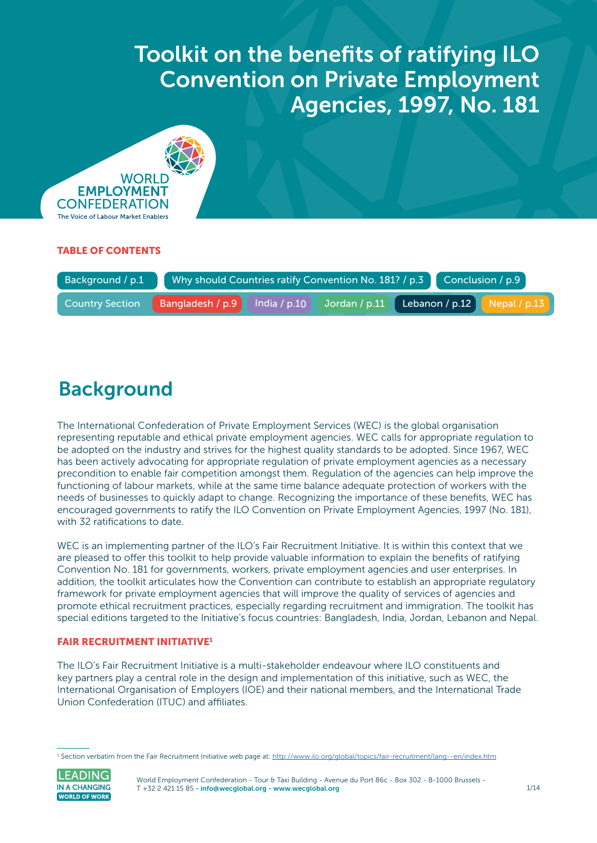# Convention on Private Employment Toolkit on the benefits of ratifying ILO Agencies, 1997, No. 181



### TABLE OF CONTENTS

| Background / p.1       |                                 | Why should Countries ratify Convention No. 181? / p.3 Conclusion / p.9 |                                           |  |  |  |  |
|------------------------|---------------------------------|------------------------------------------------------------------------|-------------------------------------------|--|--|--|--|
| <b>Country Section</b> | Bangladesh / p.9   India / p.10 |                                                                        | Jordan / p.11 Lebanon / p.12 Nepal / p.13 |  |  |  |  |

# Background

The International Confederation of Private Employment Services (WEC) is the global organisation representing reputable and ethical private employment agencies. WEC calls for appropriate regulation to be adopted on the industry and strives for the highest quality standards to be adopted. Since 1967, WEC has been actively advocating for appropriate regulation of private employment agencies as a necessary precondition to enable fair competition amongst them. Regulation of the agencies can help improve the functioning of labour markets, while at the same time balance adequate protection of workers with the needs of businesses to quickly adapt to change. Recognizing the importance of these benefits, WEC has encouraged governments to ratify the ILO Convention on Private Employment Agencies, 1997 (No. 181), with 32 ratifications to date.

WEC is an implementing partner of the ILO's Fair Recruitment Initiative. It is within this context that we are pleased to offer this toolkit to help provide valuable information to explain the benefits of ratifying Convention No. 181 for governments, workers, private employment agencies and user enterprises. In addition, the toolkit articulates how the Convention can contribute to establish an appropriate regulatory framework for private employment agencies that will improve the quality of services of agencies and promote ethical recruitment practices, especially regarding recruitment and immigration. The toolkit has special editions targeted to the Initiative's focus countries: Bangladesh, India, Jordan, Lebanon and Nepal.

## FAIR RECRUITMENT INITIATIVE1

The ILO's Fair Recruitment Initiative is a multi-stakeholder endeavour where ILO constituents and key partners play a central role in the design and implementation of this initiative, such as WEC, the International Organisation of Employers (IOE) and their national members, and the International Trade Union Confederation (ITUC) and affiliates.

<sup>&</sup>lt;sup>1</sup> Section verbatim from the Fair Recruitment Initiative web page at: <http://www.ilo.org/global/topics/fair-recruitment/lang--en/index.htm>

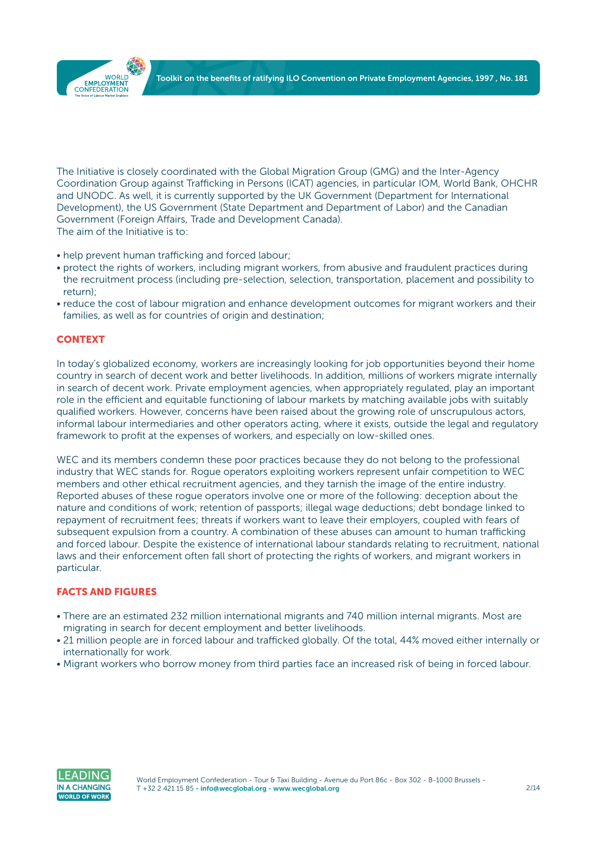



The Initiative is closely coordinated with the Global Migration Group (GMG) and the Inter-Agency Coordination Group against Trafficking in Persons (ICAT) agencies, in particular IOM, World Bank, OHCHR and UNODC. As well, it is currently supported by the UK Government (Department for International Development), the US Government (State Department and Department of Labor) and the Canadian Government (Foreign Affairs, Trade and Development Canada). The aim of the Initiative is to:

- help prevent human trafficking and forced labour;
- protect the rights of workers, including migrant workers, from abusive and fraudulent practices during the recruitment process (including pre-selection, selection, transportation, placement and possibility to return);
- reduce the cost of labour migration and enhance development outcomes for migrant workers and their families, as well as for countries of origin and destination;

### **CONTEXT**

In today's globalized economy, workers are increasingly looking for job opportunities beyond their home country in search of decent work and better livelihoods. In addition, millions of workers migrate internally in search of decent work. Private employment agencies, when appropriately regulated, play an important role in the efficient and equitable functioning of labour markets by matching available jobs with suitably qualified workers. However, concerns have been raised about the growing role of unscrupulous actors, informal labour intermediaries and other operators acting, where it exists, outside the legal and regulatory framework to profit at the expenses of workers, and especially on low-skilled ones.

WEC and its members condemn these poor practices because they do not belong to the professional industry that WEC stands for. Rogue operators exploiting workers represent unfair competition to WEC members and other ethical recruitment agencies, and they tarnish the image of the entire industry. Reported abuses of these rogue operators involve one or more of the following: deception about the nature and conditions of work; retention of passports; illegal wage deductions; debt bondage linked to repayment of recruitment fees; threats if workers want to leave their employers, coupled with fears of subsequent expulsion from a country. A combination of these abuses can amount to human trafficking and forced labour. Despite the existence of international labour standards relating to recruitment, national laws and their enforcement often fall short of protecting the rights of workers, and migrant workers in particular.

#### FACTS AND FIGURES

- There are an estimated 232 million international migrants and 740 million internal migrants. Most are migrating in search for decent employment and better livelihoods.
- 21 million people are in forced labour and trafficked globally. Of the total, 44% moved either internally or internationally for work.
- Migrant workers who borrow money from third parties face an increased risk of being in forced labour.

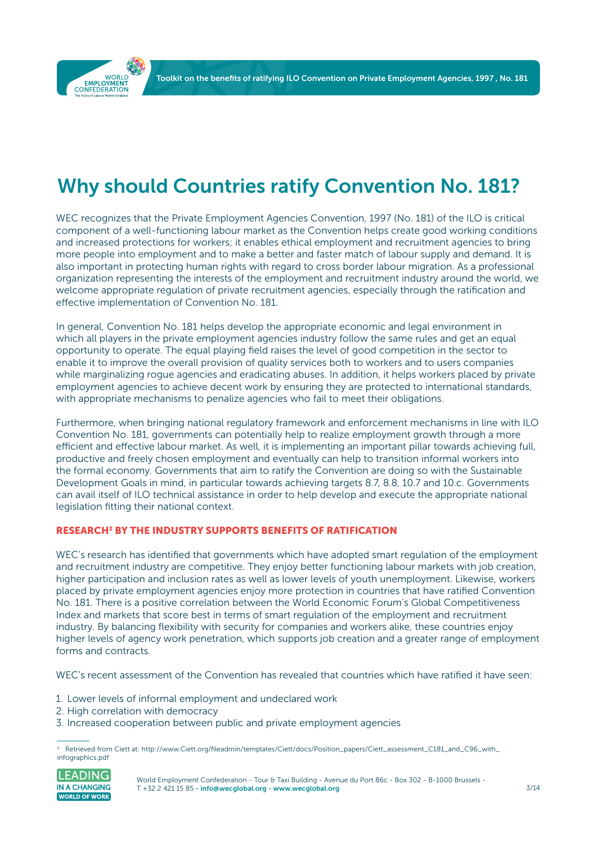<span id="page-2-0"></span>

# Why should Countries ratify Convention No. 181?

WEC recognizes that the Private Employment Agencies Convention, 1997 (No. 181) of the ILO is critical component of a well-functioning labour market as the Convention helps create good working conditions and increased protections for workers; it enables ethical employment and recruitment agencies to bring more people into employment and to make a better and faster match of labour supply and demand. It is also important in protecting human rights with regard to cross border labour migration. As a professional organization representing the interests of the employment and recruitment industry around the world, we welcome appropriate regulation of private recruitment agencies, especially through the ratification and effective implementation of Convention No. 181.

In general, Convention No. 181 helps develop the appropriate economic and legal environment in which all players in the private employment agencies industry follow the same rules and get an equal opportunity to operate. The equal playing field raises the level of good competition in the sector to enable it to improve the overall provision of quality services both to workers and to users companies while marginalizing rogue agencies and eradicating abuses. In addition, it helps workers placed by private employment agencies to achieve decent work by ensuring they are protected to international standards, with appropriate mechanisms to penalize agencies who fail to meet their obligations.

Furthermore, when bringing national regulatory framework and enforcement mechanisms in line with ILO Convention No. 181, governments can potentially help to realize employment growth through a more efficient and effective labour market. As well, it is implementing an important pillar towards achieving full, productive and freely chosen employment and eventually can help to transition informal workers into the formal economy. Governments that aim to ratify the Convention are doing so with the Sustainable Development Goals in mind, in particular towards achieving targets 8.7, 8.8, 10.7 and 10.c. Governments can avail itself of ILO technical assistance in order to help develop and execute the appropriate national legislation fitting their national context.

#### RESEARCH2 BY THE INDUSTRY SUPPORTS BENEFITS OF RATIFICATION

WEC's research has identified that governments which have adopted smart regulation of the employment and recruitment industry are competitive. They enjoy better functioning labour markets with job creation, higher participation and inclusion rates as well as lower levels of youth unemployment. Likewise, workers placed by private employment agencies enjoy more protection in countries that have ratified Convention No. 181. There is a positive correlation between the World Economic Forum's Global Competitiveness Index and markets that score best in terms of smart regulation of the employment and recruitment industry. By balancing flexibility with security for companies and workers alike, these countries enjoy higher levels of agency work penetration, which supports job creation and a greater range of employment forms and contracts.

WEC's recent assessment of the Convention has revealed that countries which have ratified it have seen:

- 1. Lower levels of informal employment and undeclared work
- 2. High correlation with democracy
- 3. Increased cooperation between public and private employment agencies

<sup>2</sup> Retrieved from Ciett at: [http://www.Ciett.org/fileadmin/templates/Ciett/docs/Position\\_papers/Ciett\\_assessment\\_C181\\_and\\_C96\\_with\\_](http://www.Ciett.org/fileadmin/templates/Ciett/docs/Position_papers/Ciett_assessment_C181_and_C96_wi) [infographics.pdf](http://www.Ciett.org/fileadmin/templates/Ciett/docs/Position_papers/Ciett_assessment_C181_and_C96_wi)

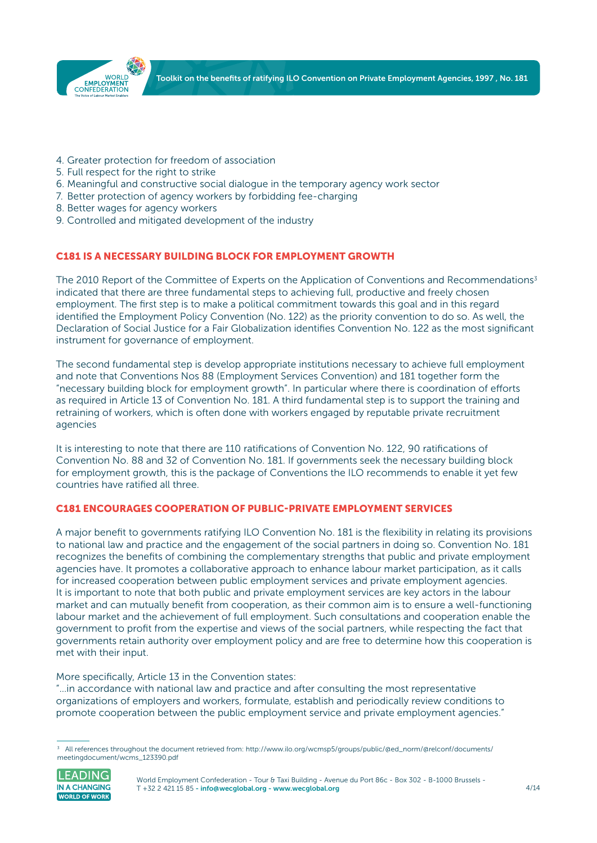

- 4. Greater protection for freedom of association
- 5. Full respect for the right to strike
- 6. Meaningful and constructive social dialogue in the temporary agency work sector
- 7. Better protection of agency workers by forbidding fee-charging
- 8. Better wages for agency workers
- 9. Controlled and mitigated development of the industry

### C181 IS A NECESSARY BUILDING BLOCK FOR EMPLOYMENT GROWTH

The 2010 Report of the Committee of Experts on the Application of Conventions and Recommendations<sup>3</sup> indicated that there are three fundamental steps to achieving full, productive and freely chosen employment. The first step is to make a political commitment towards this goal and in this regard identified the Employment Policy Convention (No. 122) as the priority convention to do so. As well, the Declaration of Social Justice for a Fair Globalization identifies Convention No. 122 as the most significant instrument for governance of employment.

The second fundamental step is develop appropriate institutions necessary to achieve full employment and note that Conventions Nos 88 (Employment Services Convention) and 181 together form the "necessary building block for employment growth". In particular where there is coordination of efforts as required in Article 13 of Convention No. 181. A third fundamental step is to support the training and retraining of workers, which is often done with workers engaged by reputable private recruitment agencies

It is interesting to note that there are 110 ratifications of Convention No. 122, 90 ratifications of Convention No. 88 and 32 of Convention No. 181. If governments seek the necessary building block for employment growth, this is the package of Conventions the ILO recommends to enable it yet few countries have ratified all three.

#### C181 ENCOURAGES COOPERATION OF PUBLIC-PRIVATE EMPLOYMENT SERVICES

A major benefit to governments ratifying ILO Convention No. 181 is the flexibility in relating its provisions to national law and practice and the engagement of the social partners in doing so. Convention No. 181 recognizes the benefits of combining the complementary strengths that public and private employment agencies have. It promotes a collaborative approach to enhance labour market participation, as it calls for increased cooperation between public employment services and private employment agencies. It is important to note that both public and private employment services are key actors in the labour market and can mutually benefit from cooperation, as their common aim is to ensure a well-functioning labour market and the achievement of full employment. Such consultations and cooperation enable the government to profit from the expertise and views of the social partners, while respecting the fact that governments retain authority over employment policy and are free to determine how this cooperation is met with their input.

#### More specifically, Article 13 in the Convention states:

"…in accordance with national law and practice and after consulting the most representative organizations of employers and workers, formulate, establish and periodically review conditions to promote cooperation between the public employment service and private employment agencies."

<sup>&</sup>lt;sup>3</sup> All references throughout the document retrieved from: [http://www.ilo.org/wcmsp5/groups/public/@ed\\_norm/@relconf/documents/](http://www.ilo.org/wcmsp5/groups/public/@ed_norm/@relconf/documents/meetingdocument/wcms_123390.pdf) [meetingdocument/wcms\\_123390.pdf](http://www.ilo.org/wcmsp5/groups/public/@ed_norm/@relconf/documents/meetingdocument/wcms_123390.pdf)

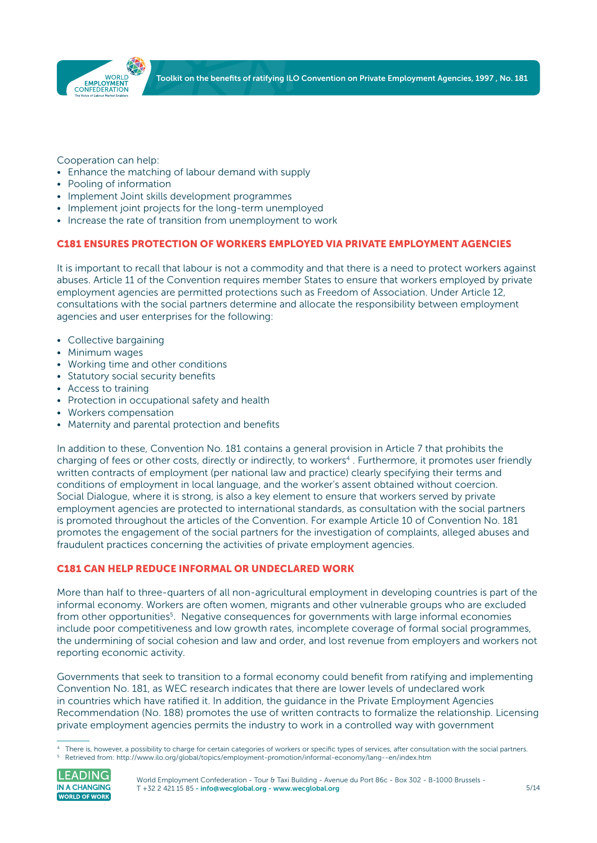

#### Cooperation can help:

- Enhance the matching of labour demand with supply
- Pooling of information
- Implement Joint skills development programmes
- Implement joint projects for the long-term unemployed
- Increase the rate of transition from unemployment to work

#### C181 ENSURES PROTECTION OF WORKERS EMPLOYED VIA PRIVATE EMPLOYMENT AGENCIES

It is important to recall that labour is not a commodity and that there is a need to protect workers against abuses. Article 11 of the Convention requires member States to ensure that workers employed by private employment agencies are permitted protections such as Freedom of Association. Under Article 12, consultations with the social partners determine and allocate the responsibility between employment agencies and user enterprises for the following:

- Collective bargaining
- Minimum wages
- Working time and other conditions
- Statutory social security benefits
- Access to training
- Protection in occupational safety and health
- Workers compensation
- Maternity and parental protection and benefits

In addition to these, Convention No. 181 contains a general provision in Article 7 that prohibits the charging of fees or other costs, directly or indirectly, to workers<sup>4</sup>. Furthermore, it promotes user friendly written contracts of employment (per national law and practice) clearly specifying their terms and conditions of employment in local language, and the worker's assent obtained without coercion. Social Dialogue, where it is strong, is also a key element to ensure that workers served by private employment agencies are protected to international standards, as consultation with the social partners is promoted throughout the articles of the Convention. For example Article 10 of Convention No. 181 promotes the engagement of the social partners for the investigation of complaints, alleged abuses and fraudulent practices concerning the activities of private employment agencies.

#### C181 CAN HELP REDUCE INFORMAL OR UNDECLARED WORK

More than half to three-quarters of all non-agricultural employment in developing countries is part of the informal economy. Workers are often women, migrants and other vulnerable groups who are excluded from other opportunities<sup>5</sup>. Negative consequences for governments with large informal economies include poor competitiveness and low growth rates, incomplete coverage of formal social programmes, the undermining of social cohesion and law and order, and lost revenue from employers and workers not reporting economic activity.

Governments that seek to transition to a formal economy could benefit from ratifying and implementing Convention No. 181, as WEC research indicates that there are lower levels of undeclared work in countries which have ratified it. In addition, the guidance in the Private Employment Agencies Recommendation (No. 188) promotes the use of written contracts to formalize the relationship. Licensing private employment agencies permits the industry to work in a controlled way with government

<sup>4</sup> There is, however, a possibility to charge for certain categories of workers or specific types of services, after consultation with the social partners. 5 Retrieved from:<http://www.ilo.org/global/topics/employment-promotion/informal-economy/lang--en/index.htm>

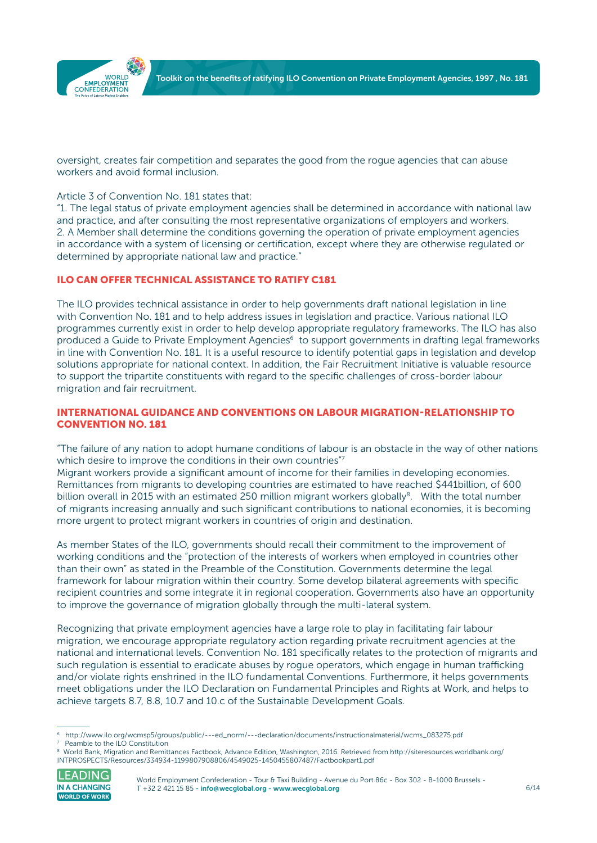

oversight, creates fair competition and separates the good from the rogue agencies that can abuse workers and avoid formal inclusion.

#### Article 3 of Convention No. 181 states that:

"1. The legal status of private employment agencies shall be determined in accordance with national law and practice, and after consulting the most representative organizations of employers and workers. 2. A Member shall determine the conditions governing the operation of private employment agencies in accordance with a system of licensing or certification, except where they are otherwise regulated or determined by appropriate national law and practice."

## ILO CAN OFFER TECHNICAL ASSISTANCE TO RATIFY C181

The ILO provides technical assistance in order to help governments draft national legislation in line with Convention No. 181 and to help address issues in legislation and practice. Various national ILO programmes currently exist in order to help develop appropriate regulatory frameworks. The ILO has also produced a Guide to Private Employment Agencies<sup>6</sup> to support governments in drafting legal frameworks in line with Convention No. 181. It is a useful resource to identify potential gaps in legislation and develop solutions appropriate for national context. In addition, the Fair Recruitment Initiative is valuable resource to support the tripartite constituents with regard to the specific challenges of cross-border labour migration and fair recruitment.

### INTERNATIONAL GUIDANCE AND CONVENTIONS ON LABOUR MIGRATION-RELATIONSHIP TO CONVENTION NO. 181

"The failure of any nation to adopt humane conditions of labour is an obstacle in the way of other nations which desire to improve the conditions in their own countries"?

Migrant workers provide a significant amount of income for their families in developing economies. Remittances from migrants to developing countries are estimated to have reached \$441billion, of 600 billion overall in 2015 with an estimated 250 million migrant workers globally<sup>8</sup>. With the total number of migrants increasing annually and such significant contributions to national economies, it is becoming more urgent to protect migrant workers in countries of origin and destination.

As member States of the ILO, governments should recall their commitment to the improvement of working conditions and the "protection of the interests of workers when employed in countries other than their own" as stated in the Preamble of the Constitution. Governments determine the legal framework for labour migration within their country. Some develop bilateral agreements with specific recipient countries and some integrate it in regional cooperation. Governments also have an opportunity to improve the governance of migration globally through the multi-lateral system.

Recognizing that private employment agencies have a large role to play in facilitating fair labour migration, we encourage appropriate regulatory action regarding private recruitment agencies at the national and international levels. Convention No. 181 specifically relates to the protection of migrants and such regulation is essential to eradicate abuses by rogue operators, which engage in human trafficking and/or violate rights enshrined in the ILO fundamental Conventions. Furthermore, it helps governments meet obligations under the ILO Declaration on Fundamental Principles and Rights at Work, and helps to achieve targets 8.7, 8.8, 10.7 and 10.c of the Sustainable Development Goals.

<sup>8</sup> World Bank, Migration and Remittances Factbook, Advance Edition, Washington, 2016. Retrieved from [http://siteresources.worldbank.org/](http://siteresources.worldbank.org/INTPROSPECTS/Resources/334934-1199807908806/4549025-1450455807487) [INTPROSPECTS/Resources/334934-1199807908806/4549025-1450455807487/Factbookpart1.pdf](http://siteresources.worldbank.org/INTPROSPECTS/Resources/334934-1199807908806/4549025-1450455807487) 



World Employment Confederation - Tour & Taxi Building - Avenue du Port 86c - Box 302 - B-1000 Brussels - T +32 2 421 15 85 [- info@wecglobal.org](mailto:info%40wecglobal.org?subject=) - [www.wecglobal.org](http://www.wecglobal.org)

<sup>6</sup> [http://www.ilo.org/wcmsp5/groups/public/---ed\\_norm/---declaration/documents/instructionalmaterial/wcms\\_083275.pdf](http://www.ilo.org/wcmsp5/groups/public/---ed_norm/---declaration/documents/instructionalmaterial/wc)

<sup>7</sup> Peamble to the ILO Constitution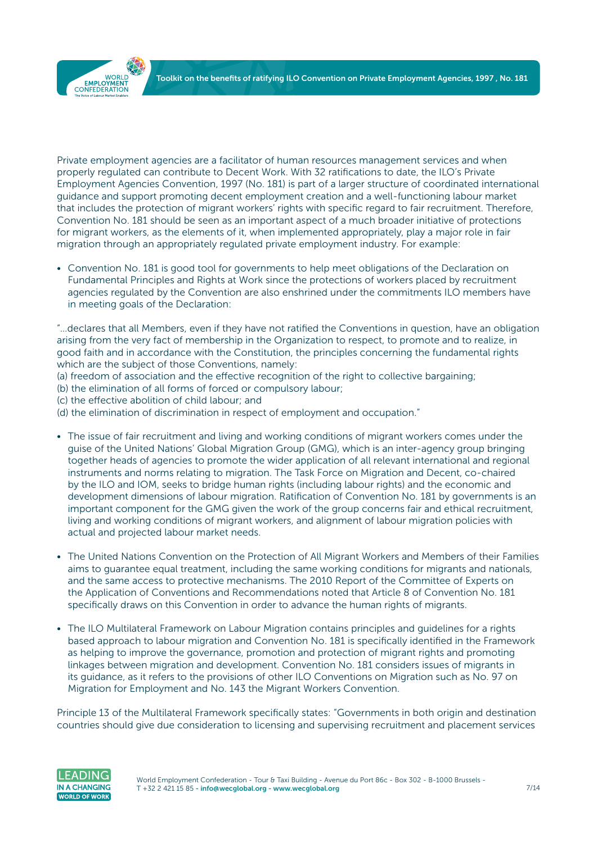Toolkit on the benefits of ratifying ILO Convention on Private Employment Agencies, 1997 , No. 181



Private employment agencies are a facilitator of human resources management services and when properly regulated can contribute to Decent Work. With 32 ratifications to date, the ILO's Private Employment Agencies Convention, 1997 (No. 181) is part of a larger structure of coordinated international guidance and support promoting decent employment creation and a well-functioning labour market that includes the protection of migrant workers' rights with specific regard to fair recruitment. Therefore, Convention No. 181 should be seen as an important aspect of a much broader initiative of protections for migrant workers, as the elements of it, when implemented appropriately, play a major role in fair migration through an appropriately regulated private employment industry. For example:

• Convention No. 181 is good tool for governments to help meet obligations of the Declaration on Fundamental Principles and Rights at Work since the protections of workers placed by recruitment agencies regulated by the Convention are also enshrined under the commitments ILO members have in meeting goals of the Declaration:

"…declares that all Members, even if they have not ratified the Conventions in question, have an obligation arising from the very fact of membership in the Organization to respect, to promote and to realize, in good faith and in accordance with the Constitution, the principles concerning the fundamental rights which are the subject of those Conventions, namely:

- (a) freedom of association and the effective recognition of the right to collective bargaining;
- (b) the elimination of all forms of forced or compulsory labour;
- (c) the effective abolition of child labour; and
- (d) the elimination of discrimination in respect of employment and occupation."
- The issue of fair recruitment and living and working conditions of migrant workers comes under the guise of the United Nations' Global Migration Group (GMG), which is an inter-agency group bringing together heads of agencies to promote the wider application of all relevant international and regional instruments and norms relating to migration. The Task Force on Migration and Decent, co-chaired by the ILO and IOM, seeks to bridge human rights (including labour rights) and the economic and development dimensions of labour migration. Ratification of Convention No. 181 by governments is an important component for the GMG given the work of the group concerns fair and ethical recruitment, living and working conditions of migrant workers, and alignment of labour migration policies with actual and projected labour market needs.
- The United Nations Convention on the Protection of All Migrant Workers and Members of their Families aims to guarantee equal treatment, including the same working conditions for migrants and nationals, and the same access to protective mechanisms. The 2010 Report of the Committee of Experts on the Application of Conventions and Recommendations noted that Article 8 of Convention No. 181 specifically draws on this Convention in order to advance the human rights of migrants.
- The ILO Multilateral Framework on Labour Migration contains principles and guidelines for a rights based approach to labour migration and Convention No. 181 is specifically identified in the Framework as helping to improve the governance, promotion and protection of migrant rights and promoting linkages between migration and development. Convention No. 181 considers issues of migrants in its guidance, as it refers to the provisions of other ILO Conventions on Migration such as No. 97 on Migration for Employment and No. 143 the Migrant Workers Convention.

Principle 13 of the Multilateral Framework specifically states: "Governments in both origin and destination countries should give due consideration to licensing and supervising recruitment and placement services

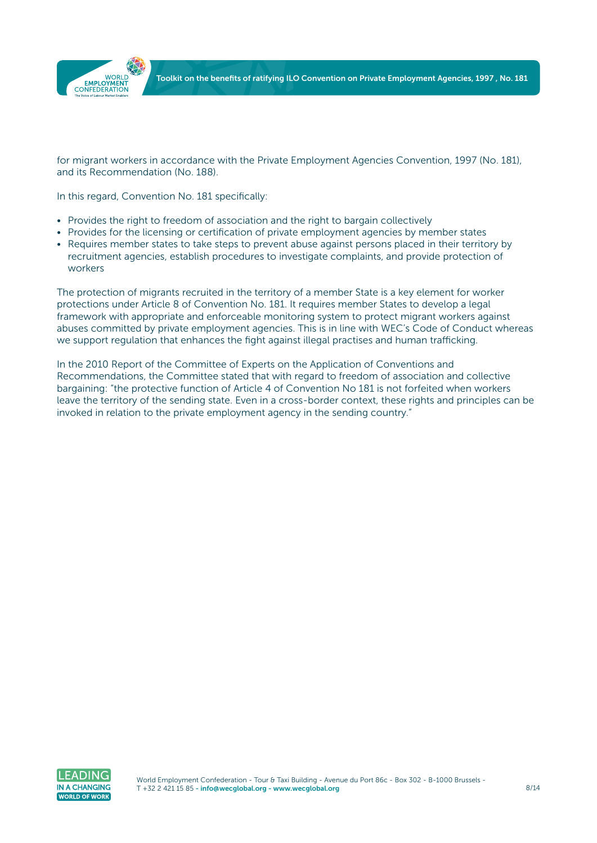

for migrant workers in accordance with the Private Employment Agencies Convention, 1997 (No. 181), and its Recommendation (No. 188).

In this regard, Convention No. 181 specifically:

- Provides the right to freedom of association and the right to bargain collectively
- Provides for the licensing or certification of private employment agencies by member states
- Requires member states to take steps to prevent abuse against persons placed in their territory by recruitment agencies, establish procedures to investigate complaints, and provide protection of workers

The protection of migrants recruited in the territory of a member State is a key element for worker protections under Article 8 of Convention No. 181. It requires member States to develop a legal framework with appropriate and enforceable monitoring system to protect migrant workers against abuses committed by private employment agencies. This is in line with WEC's Code of Conduct whereas we support regulation that enhances the fight against illegal practises and human trafficking.

In the 2010 Report of the Committee of Experts on the Application of Conventions and Recommendations, the Committee stated that with regard to freedom of association and collective bargaining: "the protective function of Article 4 of Convention No 181 is not forfeited when workers leave the territory of the sending state. Even in a cross-border context, these rights and principles can be invoked in relation to the private employment agency in the sending country."

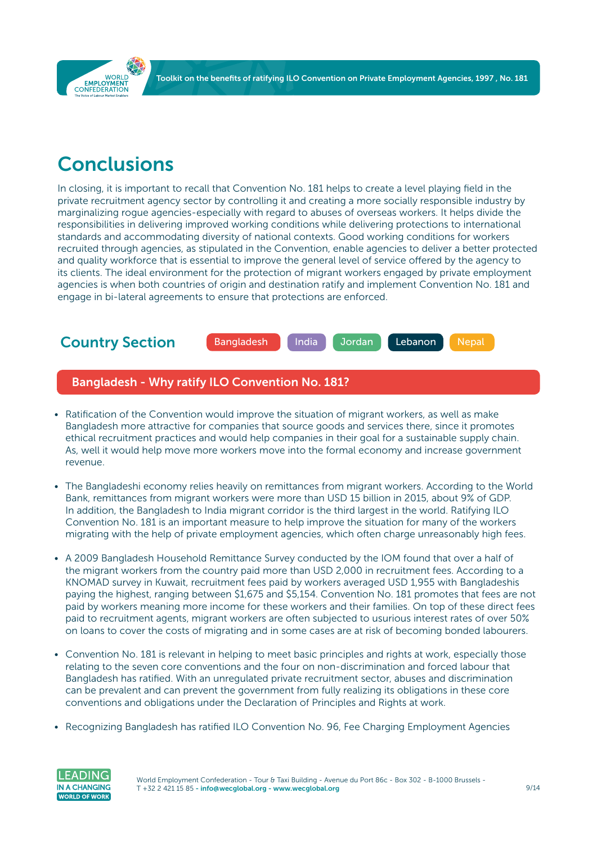<span id="page-8-0"></span>

# **Conclusions**

In closing, it is important to recall that Convention No. 181 helps to create a level playing field in the private recruitment agency sector by controlling it and creating a more socially responsible industry by marginalizing rogue agencies-especially with regard to abuses of overseas workers. It helps divide the responsibilities in delivering improved working conditions while delivering protections to international standards and accommodating diversity of national contexts. Good working conditions for workers recruited through agencies, as stipulated in the Convention, enable agencies to deliver a better protected and quality workforce that is essential to improve the general level of service offered by the agency to its clients. The ideal environment for the protection of migrant workers engaged by private employment agencies is when both countries of origin and destination ratify and implement Convention No. 181 and engage in bi-lateral agreements to ensure that protections are enforced.



## Bangladesh - Why ratify ILO Convention No. 181?

- Ratification of the Convention would improve the situation of migrant workers, as well as make Bangladesh more attractive for companies that source goods and services there, since it promotes ethical recruitment practices and would help companies in their goal for a sustainable supply chain. As, well it would help move more workers move into the formal economy and increase government revenue.
- The Bangladeshi economy relies heavily on remittances from migrant workers. According to the World Bank, remittances from migrant workers were more than USD 15 billion in 2015, about 9% of GDP. In addition, the Bangladesh to India migrant corridor is the third largest in the world. Ratifying ILO Convention No. 181 is an important measure to help improve the situation for many of the workers migrating with the help of private employment agencies, which often charge unreasonably high fees.
- A 2009 Bangladesh Household Remittance Survey conducted by the IOM found that over a half of the migrant workers from the country paid more than USD 2,000 in recruitment fees. According to a KNOMAD survey in Kuwait, recruitment fees paid by workers averaged USD 1,955 with Bangladeshis paying the highest, ranging between \$1,675 and \$5,154. Convention No. 181 promotes that fees are not paid by workers meaning more income for these workers and their families. On top of these direct fees paid to recruitment agents, migrant workers are often subjected to usurious interest rates of over 50% on loans to cover the costs of migrating and in some cases are at risk of becoming bonded labourers.
- Convention No. 181 is relevant in helping to meet basic principles and rights at work, especially those relating to the seven core conventions and the four on non-discrimination and forced labour that Bangladesh has ratified. With an unregulated private recruitment sector, abuses and discrimination can be prevalent and can prevent the government from fully realizing its obligations in these core conventions and obligations under the Declaration of Principles and Rights at work.
- Recognizing Bangladesh has ratified ILO Convention No. 96, Fee Charging Employment Agencies

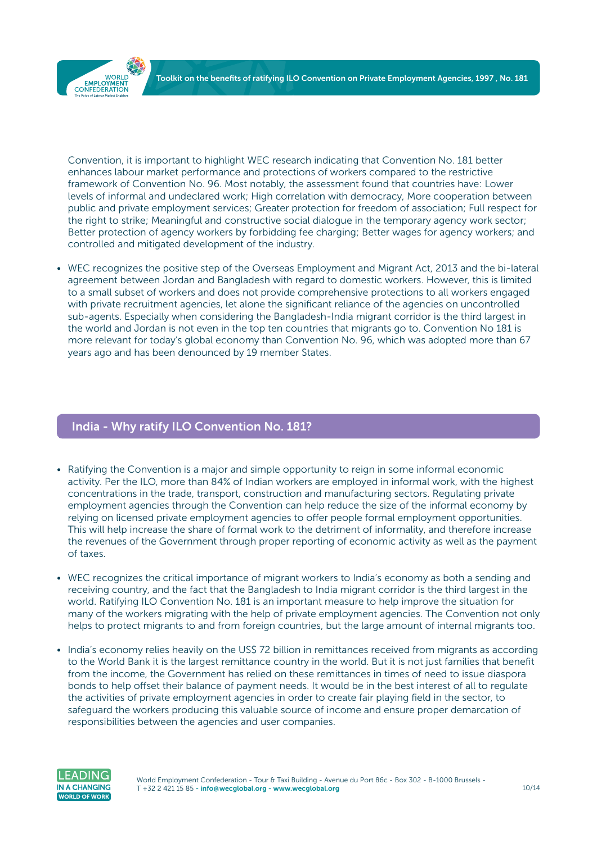

<span id="page-9-0"></span>

Convention, it is important to highlight WEC research indicating that Convention No. 181 better enhances labour market performance and protections of workers compared to the restrictive framework of Convention No. 96. Most notably, the assessment found that countries have: Lower levels of informal and undeclared work; High correlation with democracy, More cooperation between public and private employment services; Greater protection for freedom of association; Full respect for the right to strike; Meaningful and constructive social dialogue in the temporary agency work sector; Better protection of agency workers by forbidding fee charging; Better wages for agency workers; and controlled and mitigated development of the industry.

• WEC recognizes the positive step of the Overseas Employment and Migrant Act, 2013 and the bi-lateral agreement between Jordan and Bangladesh with regard to domestic workers. However, this is limited to a small subset of workers and does not provide comprehensive protections to all workers engaged with private recruitment agencies, let alone the significant reliance of the agencies on uncontrolled sub-agents. Especially when considering the Bangladesh-India migrant corridor is the third largest in the world and Jordan is not even in the top ten countries that migrants go to. Convention No 181 is more relevant for today's global economy than Convention No. 96, which was adopted more than 67 years ago and has been denounced by 19 member States.

# India - Why ratify ILO Convention No. 181?

- Ratifying the Convention is a major and simple opportunity to reign in some informal economic activity. Per the ILO, more than 84% of Indian workers are employed in informal work, with the highest concentrations in the trade, transport, construction and manufacturing sectors. Regulating private employment agencies through the Convention can help reduce the size of the informal economy by relying on licensed private employment agencies to offer people formal employment opportunities. This will help increase the share of formal work to the detriment of informality, and therefore increase the revenues of the Government through proper reporting of economic activity as well as the payment of taxes.
- WEC recognizes the critical importance of migrant workers to India's economy as both a sending and receiving country, and the fact that the Bangladesh to India migrant corridor is the third largest in the world. Ratifying ILO Convention No. 181 is an important measure to help improve the situation for many of the workers migrating with the help of private employment agencies. The Convention not only helps to protect migrants to and from foreign countries, but the large amount of internal migrants too.
- India's economy relies heavily on the US\$ 72 billion in remittances received from migrants as according to the World Bank it is the largest remittance country in the world. But it is not just families that benefit from the income, the Government has relied on these remittances in times of need to issue diaspora bonds to help offset their balance of payment needs. It would be in the best interest of all to regulate the activities of private employment agencies in order to create fair playing field in the sector, to safeguard the workers producing this valuable source of income and ensure proper demarcation of responsibilities between the agencies and user companies.

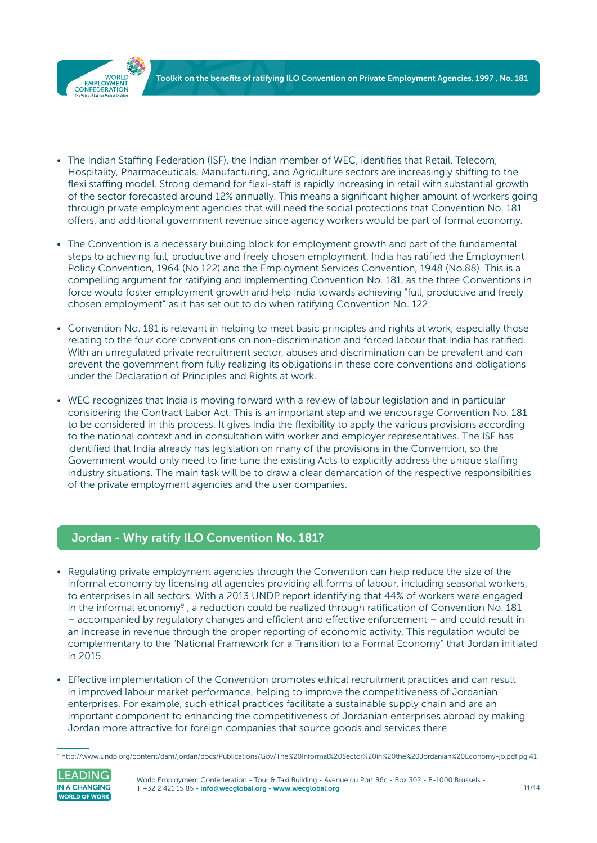<span id="page-10-0"></span>

- The Indian Staffing Federation (ISF), the Indian member of WEC, identifies that Retail, Telecom, Hospitality, Pharmaceuticals, Manufacturing, and Agriculture sectors are increasingly shifting to the flexi staffing model. Strong demand for flexi-staff is rapidly increasing in retail with substantial growth of the sector forecasted around 12% annually. This means a significant higher amount of workers going through private employment agencies that will need the social protections that Convention No. 181 offers, and additional government revenue since agency workers would be part of formal economy.
- The Convention is a necessary building block for employment growth and part of the fundamental steps to achieving full, productive and freely chosen employment. India has ratified the Employment Policy Convention, 1964 (No.122) and the Employment Services Convention, 1948 (No.88). This is a compelling argument for ratifying and implementing Convention No. 181, as the three Conventions in force would foster employment growth and help India towards achieving "full, productive and freely chosen employment" as it has set out to do when ratifying Convention No. 122.
- Convention No. 181 is relevant in helping to meet basic principles and rights at work, especially those relating to the four core conventions on non-discrimination and forced labour that India has ratified. With an unregulated private recruitment sector, abuses and discrimination can be prevalent and can prevent the government from fully realizing its obligations in these core conventions and obligations under the Declaration of Principles and Rights at work.
- WEC recognizes that India is moving forward with a review of labour legislation and in particular considering the Contract Labor Act. This is an important step and we encourage Convention No. 181 to be considered in this process. It gives India the flexibility to apply the various provisions according to the national context and in consultation with worker and employer representatives. The ISF has identified that India already has legislation on many of the provisions in the Convention, so the Government would only need to fine tune the existing Acts to explicitly address the unique staffing industry situations. The main task will be to draw a clear demarcation of the respective responsibilities of the private employment agencies and the user companies.

# Jordan - Why ratify ILO Convention No. 181?

- Regulating private employment agencies through the Convention can help reduce the size of the informal economy by licensing all agencies providing all forms of labour, including seasonal workers, to enterprises in all sectors. With a 2013 UNDP report identifying that 44% of workers were engaged in the informal economy<sup>9</sup>, a reduction could be realized through ratification of Convention No. 181 – accompanied by regulatory changes and efficient and effective enforcement – and could result in an increase in revenue through the proper reporting of economic activity. This regulation would be complementary to the "National Framework for a Transition to a Formal Economy" that Jordan initiated in 2015.
- Effective implementation of the Convention promotes ethical recruitment practices and can result in improved labour market performance, helping to improve the competitiveness of Jordanian enterprises. For example, such ethical practices facilitate a sustainable supply chain and are an important component to enhancing the competitiveness of Jordanian enterprises abroad by making Jordan more attractive for foreign companies that source goods and services there.

<sup>9</sup> [http://www.undp.org/content/dam/jordan/docs/Publications/Gov/The%20Informal%20Sector%20in%20the%20Jordanian%20Economy-jo.pdf](http://www.undp.org/content/dam/jordan/docs/Publications/Gov/The%20Informal%20Sector%20in%20the%20Jo) pg 41

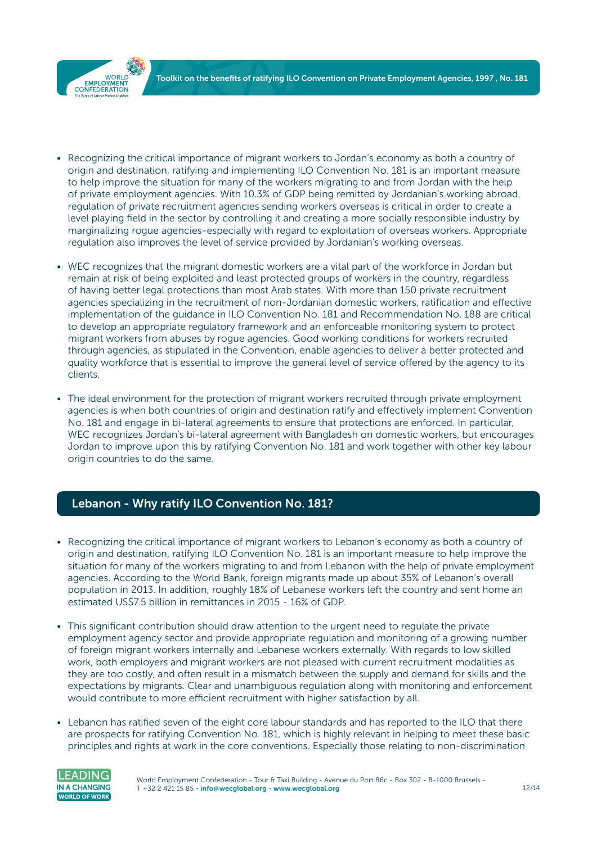<span id="page-11-0"></span>

- Recognizing the critical importance of migrant workers to Jordan's economy as both a country of origin and destination, ratifying and implementing ILO Convention No. 181 is an important measure to help improve the situation for many of the workers migrating to and from Jordan with the help of private employment agencies. With 10.3% of GDP being remitted by Jordanian's working abroad, regulation of private recruitment agencies sending workers overseas is critical in order to create a level playing field in the sector by controlling it and creating a more socially responsible industry by marginalizing rogue agencies-especially with regard to exploitation of overseas workers. Appropriate regulation also improves the level of service provided by Jordanian's working overseas.
- WEC recognizes that the migrant domestic workers are a vital part of the workforce in Jordan but remain at risk of being exploited and least protected groups of workers in the country, regardless of having better legal protections than most Arab states. With more than 150 private recruitment agencies specializing in the recruitment of non-Jordanian domestic workers, ratification and effective implementation of the guidance in ILO Convention No. 181 and Recommendation No. 188 are critical to develop an appropriate regulatory framework and an enforceable monitoring system to protect migrant workers from abuses by rogue agencies. Good working conditions for workers recruited through agencies, as stipulated in the Convention, enable agencies to deliver a better protected and quality workforce that is essential to improve the general level of service offered by the agency to its clients.
- The ideal environment for the protection of migrant workers recruited through private employment agencies is when both countries of origin and destination ratify and effectively implement Convention No. 181 and engage in bi-lateral agreements to ensure that protections are enforced. In particular, WEC recognizes Jordan's bi-lateral agreement with Bangladesh on domestic workers, but encourages Jordan to improve upon this by ratifying Convention No. 181 and work together with other key labour origin countries to do the same.

# Lebanon - Why ratify ILO Convention No. 181?

- Recognizing the critical importance of migrant workers to Lebanon's economy as both a country of origin and destination, ratifying ILO Convention No. 181 is an important measure to help improve the situation for many of the workers migrating to and from Lebanon with the help of private employment agencies. According to the World Bank, foreign migrants made up about 35% of Lebanon's overall population in 2013. In addition, roughly 18% of Lebanese workers left the country and sent home an estimated US\$7.5 billion in remittances in 2015 - 16% of GDP.
- This significant contribution should draw attention to the urgent need to regulate the private employment agency sector and provide appropriate regulation and monitoring of a growing number of foreign migrant workers internally and Lebanese workers externally. With regards to low skilled work, both employers and migrant workers are not pleased with current recruitment modalities as they are too costly, and often result in a mismatch between the supply and demand for skills and the expectations by migrants. Clear and unambiguous regulation along with monitoring and enforcement would contribute to more efficient recruitment with higher satisfaction by all.
- Lebanon has ratified seven of the eight core labour standards and has reported to the ILO that there are prospects for ratifying Convention No. 181, which is highly relevant in helping to meet these basic principles and rights at work in the core conventions. Especially those relating to non-discrimination



World Employment Confederation - Tour & Taxi Building - Avenue du Port 86c - Box 302 - B-1000 Brussels - T +32 2 421 15 85 [- info@wecglobal.org](mailto:info%40wecglobal.org?subject=) - [www.wecglobal.org](http://www.wecglobal.org)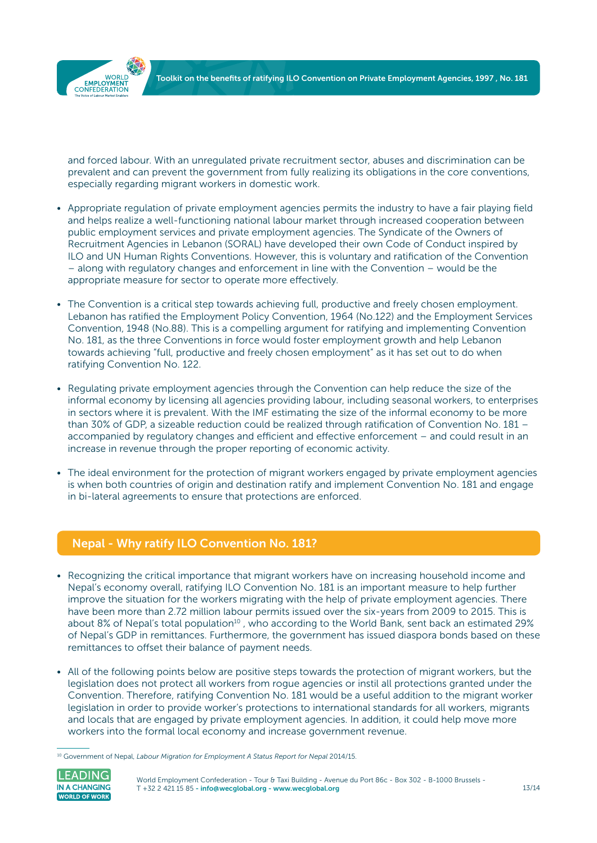

<span id="page-12-0"></span>

and forced labour. With an unregulated private recruitment sector, abuses and discrimination can be prevalent and can prevent the government from fully realizing its obligations in the core conventions, especially regarding migrant workers in domestic work.

- Appropriate regulation of private employment agencies permits the industry to have a fair playing field and helps realize a well-functioning national labour market through increased cooperation between public employment services and private employment agencies. The Syndicate of the Owners of Recruitment Agencies in Lebanon (SORAL) have developed their own Code of Conduct inspired by ILO and UN Human Rights Conventions. However, this is voluntary and ratification of the Convention – along with regulatory changes and enforcement in line with the Convention – would be the appropriate measure for sector to operate more effectively.
- The Convention is a critical step towards achieving full, productive and freely chosen employment. Lebanon has ratified the Employment Policy Convention, 1964 (No.122) and the Employment Services Convention, 1948 (No.88). This is a compelling argument for ratifying and implementing Convention No. 181, as the three Conventions in force would foster employment growth and help Lebanon towards achieving "full, productive and freely chosen employment" as it has set out to do when ratifying Convention No. 122.
- Regulating private employment agencies through the Convention can help reduce the size of the informal economy by licensing all agencies providing labour, including seasonal workers, to enterprises in sectors where it is prevalent. With the IMF estimating the size of the informal economy to be more than 30% of GDP, a sizeable reduction could be realized through ratification of Convention No. 181 – accompanied by regulatory changes and efficient and effective enforcement – and could result in an increase in revenue through the proper reporting of economic activity.
- The ideal environment for the protection of migrant workers engaged by private employment agencies is when both countries of origin and destination ratify and implement Convention No. 181 and engage in bi-lateral agreements to ensure that protections are enforced.

# Nepal - Why ratify ILO Convention No. 181?

- Recognizing the critical importance that migrant workers have on increasing household income and Nepal's economy overall, ratifying ILO Convention No. 181 is an important measure to help further improve the situation for the workers migrating with the help of private employment agencies. There have been more than 2.72 million labour permits issued over the six-years from 2009 to 2015. This is about 8% of Nepal's total population<sup>10</sup>, who according to the World Bank, sent back an estimated 29% of Nepal's GDP in remittances. Furthermore, the government has issued diaspora bonds based on these remittances to offset their balance of payment needs.
- All of the following points below are positive steps towards the protection of migrant workers, but the legislation does not protect all workers from rogue agencies or instil all protections granted under the Convention. Therefore, ratifying Convention No. 181 would be a useful addition to the migrant worker legislation in order to provide worker's protections to international standards for all workers, migrants and locals that are engaged by private employment agencies. In addition, it could help move more workers into the formal local economy and increase government revenue.

<sup>10</sup> Government of Nepal, *Labour Migration for Employment A Status Report for Nepal* 2014/15.